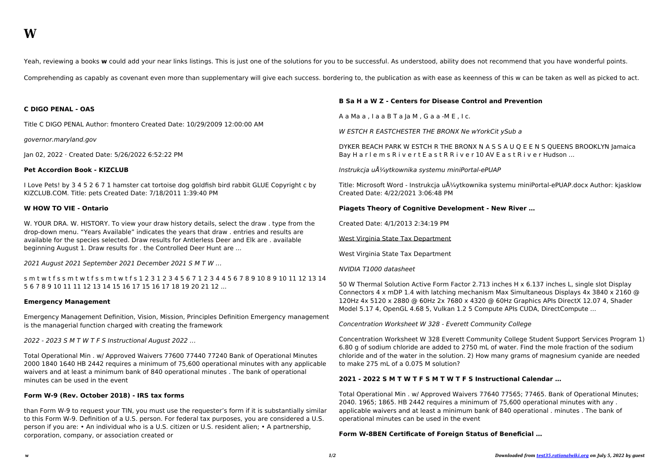Yeah, reviewing a books w could add your near links listings. This is just one of the solutions for you to be successful. As understood, ability does not recommend that you have wonderful points.

Comprehending as capably as covenant even more than supplementary will give each success. bordering to, the publication as with ease as keenness of this w can be taken as well as picked to act.

### **C DIGO PENAL - OAS**

Title C DIGO PENAL Author: fmontero Created Date: 10/29/2009 12:00:00 AM

governor.maryland.gov

Jan 02, 2022 · Created Date: 5/26/2022 6:52:22 PM

### **Pet Accordion Book - KIZCLUB**

I Love Pets! by 3 4 5 2 6 7 1 hamster cat tortoise dog goldfish bird rabbit GLUE Copyright c by KIZCLUB.COM. Title: pets Created Date: 7/18/2011 1:39:40 PM

### **W HOW TO VIE - Ontario**

W. YOUR DRA. W. HISTORY. To view your draw history details, select the draw . type from the drop-down menu. "Years Available" indicates the years that draw . entries and results are available for the species selected. Draw results for Antlerless Deer and Elk are . available beginning August 1. Draw results for . the Controlled Deer Hunt are ...

2021 August 2021 September 2021 December 2021 S M T W …

DYKER BEACH PARK W ESTCH R THE BRONX N A S S A U Q E E N S QUEENS BROOKLYN Jamaica Bay H a r l e m s R i v e r t E a s t R R i v e r 10 AV E a s t R i v e r Hudson ...

Instrukcja uÅ1/4ytkownika systemu miniPortal-ePUAP

s m t w t f s s m t w t f s s m t w t f s 1 2 3 1 2 3 4 5 6 7 1 2 3 4 4 5 6 7 8 9 10 8 9 10 11 12 13 14 5 6 7 8 9 10 11 11 12 13 14 15 16 17 15 16 17 18 19 20 21 12 ...

### **Emergency Management**

Title: Microsoft Word - Instrukcja użytkownika systemu miniPortal-ePUAP.docx Author: kjasklow Created Date: 4/22/2021 3:06:48 PM

Emergency Management Definition, Vision, Mission, Principles Definition Emergency management is the managerial function charged with creating the framework

2022 - 2023 S M T W T F S Instructional August 2022 …

Total Operational Min . w/ Approved Waivers 77600 77440 77240 Bank of Operational Minutes 2000 1840 1640 HB 2442 requires a minimum of 75,600 operational minutes with any applicable waivers and at least a minimum bank of 840 operational minutes . The bank of operational minutes can be used in the event

# **Form W-9 (Rev. October 2018) - IRS tax forms**

than Form W-9 to request your TIN, you must use the requester's form if it is substantially similar to this Form W-9. Definition of a U.S. person. For federal tax purposes, you are considered a U.S. person if you are: • An individual who is a U.S. citizen or U.S. resident alien; • A partnership, corporation, company, or association created or

# **B Sa H a W Z - Centers for Disease Control and Prevention**

A a Ma a , I a a B T a Ja M , G a a -M E , I c.

W ESTCH R EASTCHESTER THE BRONX Ne wYorkCit ySub a

## **Piagets Theory of Cognitive Development - New River …**

Created Date: 4/1/2013 2:34:19 PM

West Virginia State Tax Department

West Virginia State Tax Department

### NVIDIA T1000 datasheet

50 W Thermal Solution Active Form Factor 2.713 inches H x 6.137 inches L, single slot Display Connectors 4 x mDP 1.4 with latching mechanism Max Simultaneous Displays 4x 3840 x 2160 @ 120Hz 4x 5120 x 2880 @ 60Hz 2x 7680 x 4320 @ 60Hz Graphics APIs DirectX 12.07 4, Shader Model 5.17 4, OpenGL 4.68 5, Vulkan 1.2 5 Compute APIs CUDA, DirectCompute ...

Concentration Worksheet W 328 - Everett Community College

Concentration Worksheet W 328 Everett Community College Student Support Services Program 1) 6.80 g of sodium chloride are added to 2750 mL of water. Find the mole fraction of the sodium chloride and of the water in the solution. 2) How many grams of magnesium cyanide are needed to make 275 mL of a 0.075 M solution?

# **2021 - 2022 S M T W T F S M T W T F S Instructional Calendar …**

Total Operational Min . w/ Approved Waivers 77640 77565; 77465. Bank of Operational Minutes; 2040. 1965; 1865. HB 2442 requires a minimum of 75,600 operational minutes with any . applicable waivers and at least a minimum bank of 840 operational . minutes . The bank of operational minutes can be used in the event

## **Form W-8BEN Certificate of Foreign Status of Beneficial …**